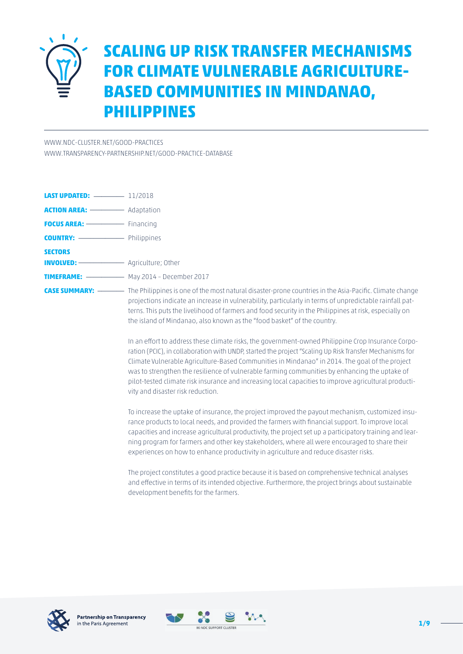

# **SCALING UP RISK TRANSFER MECHANISMS FOR CLIMATE VULNERABLE AGRICULTURE-BASED COMMUNITIES IN MINDANAO, PHILIPPINES**

[WWW.NDC-CLUSTER.NET/GOOD-PRACTICES](http://www.ndc-cluster.net/good-practices)

[WWW.TRANSPARENCY-PARTNERSHIP.NET/GOOD-PRACTICE-DATABASE](https://www.transparency-partnership.net/good-practice-database)

| <b>COUNTRY:</b> ---------------- Philippines |                                                                                                                                                                                               |
|----------------------------------------------|-----------------------------------------------------------------------------------------------------------------------------------------------------------------------------------------------|
| <b>SECTORS</b>                               |                                                                                                                                                                                               |
|                                              |                                                                                                                                                                                               |
|                                              | <b>TIMEFRAME:</b> $\longrightarrow$ May 2014 - December 2017                                                                                                                                  |
|                                              | <b>CASE SUMMARY:</b> ————— The Philippines is one of the most natural disaster-prone countries in the Asia<br>projections indicate an increase in vulnerability, particularly in terms of unp |

a-Pacific. Climate change predictable rainfall patterns. This puts the livelihood of farmers and food security in the Philippines at risk, especially on the island of Mindanao, also known as the "food basket" of the country.

> In an effort to address these climate risks, the government-owned Philippine Crop Insurance Corporation (PCIC), in collaboration with UNDP, started the project "Scaling Up Risk Transfer Mechanisms for Climate Vulnerable Agriculture-Based Communities in Mindanao" in 2014. The goal of the project was to strengthen the resilience of vulnerable farming communities by enhancing the uptake of pilot-tested climate risk insurance and increasing local capacities to improve agricultural productivity and disaster risk reduction.

> To increase the uptake of insurance, the project improved the payout mechanism, customized insurance products to local needs, and provided the farmers with financial support. To improve local capacities and increase agricultural productivity, the project set up a participatory training and learning program for farmers and other key stakeholders, where all were encouraged to share their experiences on how to enhance productivity in agriculture and reduce disaster risks.

The project constitutes a good practice because it is based on comprehensive technical analyses and effective in terms of its intended objective. Furthermore, the project brings about sustainable development benefits for the farmers.



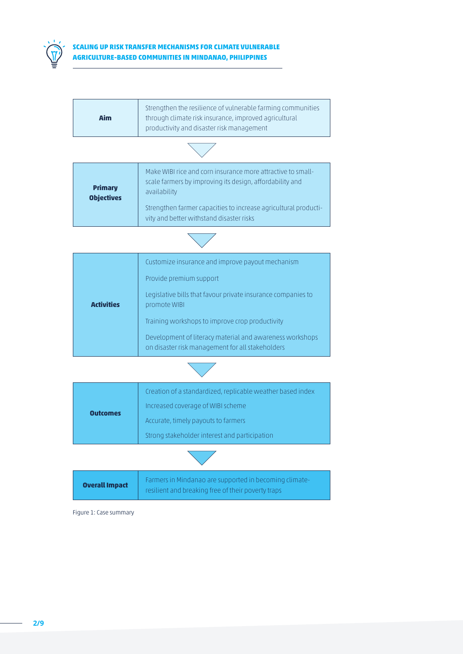

### **SCALING UP RISK TRANSFER MECHANISMS FOR CLIMATE VULNERABLE AGRICULTURE-BASED COMMUNITIES IN MINDANAO, PHILIPPINES**

| <b>Primary</b><br><b>Objectives</b> | Make WIBI rice and corn insurance more attractive to small-<br>scale farmers by improving its design, affordability and<br>availability |  |
|-------------------------------------|-----------------------------------------------------------------------------------------------------------------------------------------|--|
|                                     | Strengthen farmer capacities to increase agricultural producti-<br>vity and better withstand disaster risks                             |  |
|                                     |                                                                                                                                         |  |
|                                     | Customize insurance and improve payout mechanism                                                                                        |  |
|                                     | Provide premium support                                                                                                                 |  |
| <b>Activities</b>                   | Legislative bills that favour private insurance companies to<br>promote WIBI                                                            |  |
|                                     | Training workshops to improve crop productivity                                                                                         |  |
|                                     | Development of literacy material and awareness workshops<br>on disaster risk management for all stakeholders                            |  |
|                                     |                                                                                                                                         |  |
|                                     | Creation of a standardized, replicable weather based index                                                                              |  |
| <b>Outcomes</b>                     | Increased coverage of WIBI scheme                                                                                                       |  |
|                                     | Accurate, timely payouts to farmers                                                                                                     |  |
|                                     | Strong stakeholder interest and participation                                                                                           |  |
|                                     |                                                                                                                                         |  |

**Overall Impact** Farmers in Mindanao are supported in becoming climate-

resilient and breaking free of their poverty traps

Figure 1: Case summary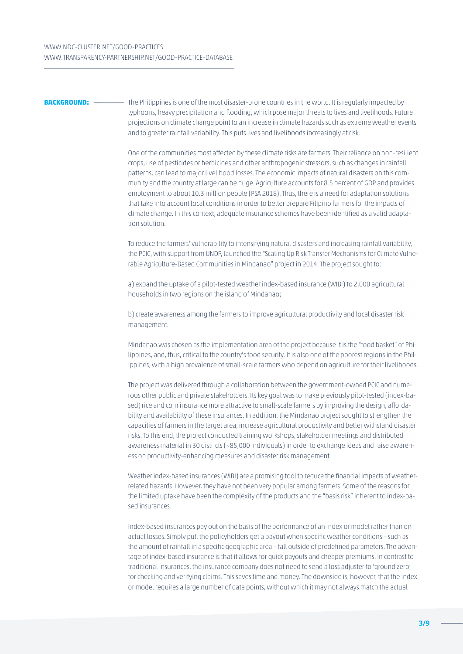**BACKGROUND:** \_\_\_\_\_\_\_\_\_\_\_ The Philippines is one of the most disaster-prone countries in the world. It is regularly impacted by typhoons, heavy precipitation and flooding, which pose major threats to lives and livelihoods. Future projections on climate change point to an increase in climate hazards such as extreme weather events and to greater rainfall variability. This puts lives and livelihoods increasingly at risk.

> One of the communities most affected by these climate risks are farmers. Their reliance on non-resilient crops, use of pesticides or herbicides and other anthropogenic stressors, such as changes in rainfall patterns, can lead to major livelihood losses. The economic impacts of natural disasters on this community and the country at large can be huge. Agriculture accounts for 8.5 percent of GDP and provides employment to about 10.3 million people (PSA 2018). Thus, there is a need for adaptation solutions that take into account local conditions in order to better prepare Filipino farmers for the impacts of climate change. In this context, adequate insurance schemes have been identified as a valid adaptation solution.

> To reduce the farmers' vulnerability to intensifying natural disasters and increasing rainfall variability, the PCIC, with support from UNDP, launched the "Scaling Up Risk Transfer Mechanisms for Climate Vulnerable Agriculture-Based Communities in Mindanao" project in 2014. The project sought to:

a) expand the uptake of a pilot-tested weather index-based insurance (WIBI) to 2,000 agricultural households in two regions on the island of Mindanao;

b) create awareness among the farmers to improve agricultural productivity and local disaster risk management.

Mindanao was chosen as the implementation area of the project because it is the "food basket" of Philippines, and, thus, critical to the country's food security. It is also one of the poorest regions in the Philippines, with a high prevalence of small-scale farmers who depend on agriculture for their livelihoods.

The project was delivered through a collaboration between the government-owned PCIC and numerous other public and private stakeholders. Its key goal was to make previously pilot-tested (index-based) rice and corn insurance more attractive to small-scale farmers by improving the design, affordability and availability of these insurances. In addition, the Mindanao project sought to strengthen the capacities of farmers in the target area, increase agricultural productivity and better withstand disaster risks. To this end, the project conducted training workshops, stakeholder meetings and distributed awareness material in 30 districts (~85,000 individuals) in order to exchange ideas and raise awareness on productivity-enhancing measures and disaster risk management.

Weather index-based insurances (WIBI) are a promising tool to reduce the financial impacts of weatherrelated hazards. However, they have not been very popular among farmers. Some of the reasons for the limited uptake have been the complexity of the products and the "basis risk" inherent to index-based insurances.

Index-based insurances pay out on the basis of the performance of an index or model rather than on actual losses. Simply put, the policyholders get a payout when specific weather conditions – such as the amount of rainfall in a specific geographic area – fall outside of predefined parameters. The advantage of index-based insurance is that it allows for quick payouts and cheaper premiums. In contrast to traditional insurances, the insurance company does not need to send a loss adjuster to 'ground zero' for checking and verifying claims. This saves time and money. The downside is, however, that the index or model requires a large number of data points, without which it may not always match the actual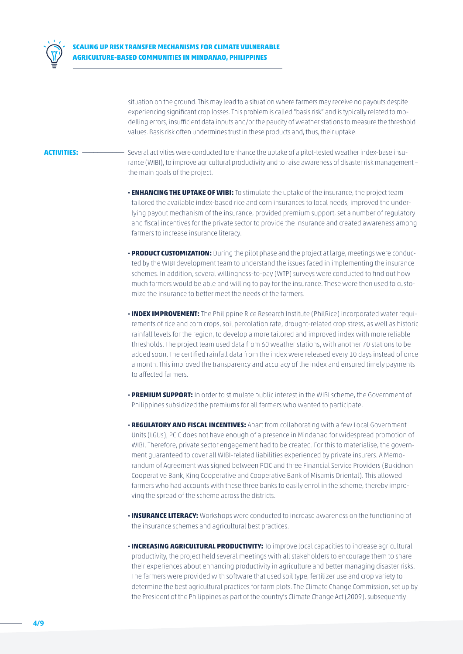

situation on the ground. This may lead to a situation where farmers may receive no payouts despite experiencing significant crop losses. This problem is called "basis risk" and is typically related to modelling errors, insufficient data inputs and/or the paucity of weather stations to measure the threshold values. Basis risk often undermines trust in these products and, thus, their uptake.

- **ACTIVITIES:** \_\_\_\_\_\_\_\_\_\_\_ Several activities were conducted to enhance the uptake of a pilot-tested weather index-base insurance (WIBI), to improve agricultural productivity and to raise awareness of disaster risk management – the main goals of the project.
	- **· ENHANCING THE UPTAKE OF WIBI:** To stimulate the uptake of the insurance, the project team tailored the available index-based rice and corn insurances to local needs, improved the underlying payout mechanism of the insurance, provided premium support, set a number of regulatory and fiscal incentives for the private sector to provide the insurance and created awareness among farmers to increase insurance literacy.
	- **· PRODUCT CUSTOMIZATION:** During the pilot phase and the project at large, meetings were conducted by the WIBI development team to understand the issues faced in implementing the insurance schemes. In addition, several willingness-to-pay (WTP) surveys were conducted to find out how much farmers would be able and willing to pay for the insurance. These were then used to customize the insurance to better meet the needs of the farmers.
	- **· INDEX IMPROVEMENT:** The Philippine Rice Research Institute (PhilRice) incorporated water requirements of rice and corn crops, soil percolation rate, drought-related crop stress, as well as historic rainfall levels for the region, to develop a more tailored and improved index with more reliable thresholds. The project team used data from 60 weather stations, with another 70 stations to be added soon. The certified rainfall data from the index were released every 10 days instead of once a month. This improved the transparency and accuracy of the index and ensured timely payments to affected farmers.
	- **· PREMIUM SUPPORT:** In order to stimulate public interest in the WIBI scheme, the Government of Philippines subsidized the premiums for all farmers who wanted to participate.
	- **· REGULATORY AND FISCAL INCENTIVES:** Apart from collaborating with a few Local Government Units (LGUs), PCIC does not have enough of a presence in Mindanao for widespread promotion of WIBI. Therefore, private sector engagement had to be created. For this to materialise, the government guaranteed to cover all WIBI-related liabilities experienced by private insurers. A Memorandum of Agreement was signed between PCIC and three Financial Service Providers (Bukidnon Cooperative Bank, King Cooperative and Cooperative Bank of Misamis Oriental). This allowed farmers who had accounts with these three banks to easily enrol in the scheme, thereby improving the spread of the scheme across the districts.
	- **· INSURANCE LITERACY:** Workshops were conducted to increase awareness on the functioning of the insurance schemes and agricultural best practices.
	- **· INCREASING AGRICULTURAL PRODUCTIVITY:** To improve local capacities to increase agricultural productivity, the project held several meetings with all stakeholders to encourage them to share their experiences about enhancing productivity in agriculture and better managing disaster risks. The farmers were provided with software that used soil type, fertilizer use and crop variety to determine the best agricultural practices for farm plots. The Climate Change Commission, set up by the President of the Philippines as part of the country's Climate Change Act (2009), subsequently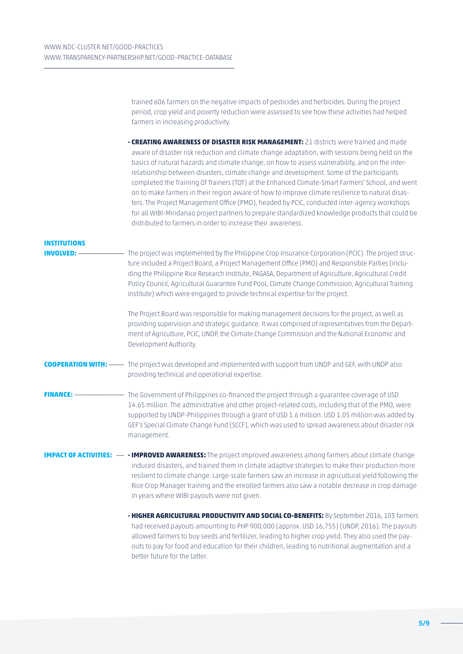|                                           | trained 606 farmers on the negative impacts of pesticides and herbicides. During the project<br>period, crop yield and poverty reduction were assessed to see how these activities had helped<br>farmers in increasing productivity.                                                                                                                                                                                                                                                                                                                                                                                                                                                                                                                                                                                                                            |
|-------------------------------------------|-----------------------------------------------------------------------------------------------------------------------------------------------------------------------------------------------------------------------------------------------------------------------------------------------------------------------------------------------------------------------------------------------------------------------------------------------------------------------------------------------------------------------------------------------------------------------------------------------------------------------------------------------------------------------------------------------------------------------------------------------------------------------------------------------------------------------------------------------------------------|
|                                           | . CREATING AWARENESS OF DISASTER RISK MANAGEMENT: 21 districts were trained and made<br>aware of disaster risk reduction and climate change adaptation, with sessions being held on the<br>basics of natural hazards and climate change, on how to assess vulnerability, and on the inter-<br>relationship between disasters, climate change and development. Some of the participants<br>completed the Training Of Trainers (TOT) at the Enhanced Climate-Smart Farmers' School, and went<br>on to make farmers in their region aware of how to improve climate resilience to natural disas-<br>ters. The Project Management Office (PMO), headed by PCIC, conducted inter-agency workshops<br>for all WIBI-Mindanao project partners to prepare standardized knowledge products that could be<br>distributed to farmers in order to increase their awareness. |
| <b>INSTITUTIONS</b><br><b>INVOLVED: -</b> | The project was implemented by the Philippine Crop Insurance Corporation (PCIC). The project struc-<br>ture included a Project Board, a Project Management Office (PMO) and Responsible Parties (inclu-<br>ding the Philippine Rice Research Institute, PAGASA, Department of Agriculture, Agricultural Credit<br>Policy Council, Agricultural Guarantee Fund Pool, Climate Change Commission, Agricultural Training<br>Institute) which were engaged to provide technical expertise for the project.                                                                                                                                                                                                                                                                                                                                                           |
|                                           | The Project Board was responsible for making management decisions for the project, as well as<br>providing supervision and strategic guidance. It was comprised of representatives from the Depart-<br>ment of Agriculture, PCIC, UNDP, the Climate Change Commission and the National Economic and<br>Development Authority.                                                                                                                                                                                                                                                                                                                                                                                                                                                                                                                                   |
|                                           | <b>COOPERATION WITH:</b> —— The project was developed and implemented with support from UNDP and GEF, with UNDP also<br>providing technical and operational expertise.                                                                                                                                                                                                                                                                                                                                                                                                                                                                                                                                                                                                                                                                                          |
| <b>FINANCE:</b>                           | The Government of Philippines co-financed the project through a guarantee coverage of USD<br>14.65 million. The administrative and other project-related costs, including that of the PMO, were<br>supported by UNDP-Philippines through a grant of USD 1.6 million. USD 1.05 million was added by<br>GEF's Special Climate Change Fund (SCCF), which was used to spread awareness about disaster risk<br>management.                                                                                                                                                                                                                                                                                                                                                                                                                                           |
|                                           | IMPACT OF ACTIVITIES: — • IMPROVED AWARENESS: The project improved awareness among farmers about climate change<br>induced disasters, and trained them in climate adaptive strategies to make their production more<br>resilient to climate change. Large-scale farmers saw an increase in agricultural yield following the<br>Rice Crop Manager training and the enrolled farmers also saw a notable decrease in crop damage<br>in years where WIBI payouts were not given.                                                                                                                                                                                                                                                                                                                                                                                    |
|                                           | <b>· HIGHER AGRICULTURAL PRODUCTIVITY AND SOCIAL CO-BENEFITS:</b> By September 2016, 103 farmers<br>had received payouts amounting to PHP 900,000 (approx. USD 16,755) (UNDP, 2016). The payouts<br>allowed farmers to buy seeds and fertilizer, leading to higher crop yield. They also used the pay-<br>outs to pay for food and education for their children, leading to nutritional augmentation and a<br>better future for the latter.                                                                                                                                                                                                                                                                                                                                                                                                                     |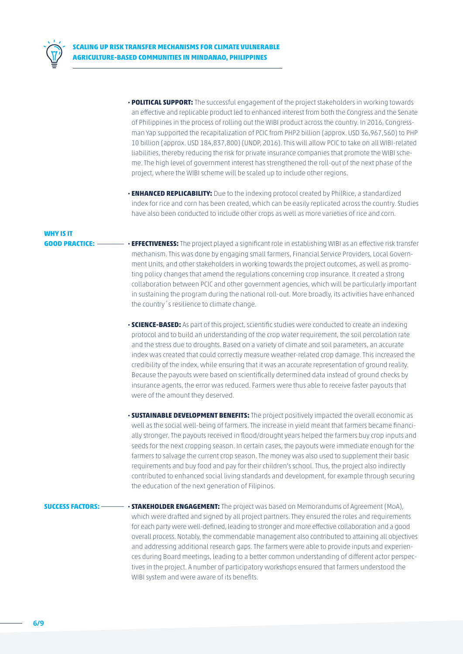

- **· POLITICAL SUPPORT:** The successful engagement of the project stakeholders in working towards an effective and replicable product led to enhanced interest from both the Congress and the Senate of Philippines in the process of rolling out the WIBI product across the country. In 2016, Congressman Yap supported the recapitalization of PCIC from PHP2 billion (approx. USD 36,967,560) to PHP 10 billion (approx. USD 184,837,800) (UNDP, 2016). This will allow PCIC to take on all WIBI-related liabilities, thereby reducing the risk for private insurance companies that promote the WIBI scheme. The high level of government interest has strengthened the roll-out of the next phase of the project, where the WIBI scheme will be scaled up to include other regions.
- **· ENHANCED REPLICABILITY:** Due to the indexing protocol created by PhilRice, a standardized index for rice and corn has been created, which can be easily replicated across the country. Studies have also been conducted to include other crops as well as more varieties of rice and corn.

## **WHY IS IT**

- **GOOD PRACTICE:** \_\_\_\_\_\_\_ **· EFFECTIVENESS:** The project played a significant role in establishing WIBI as an effective risk transfer mechanism. This was done by engaging small farmers, Financial Service Providers, Local Government Units, and other stakeholders in working towards the project outcomes, as well as promoting policy changes that amend the regulations concerning crop insurance. It created a strong collaboration between PCIC and other government agencies, which will be particularly important in sustaining the program during the national roll-out. More broadly, its activities have enhanced the country´s resilience to climate change.
	- **· SCIENCE-BASED:** As part of this project, scientific studies were conducted to create an indexing protocol and to build an understanding of the crop water requirement, the soil percolation rate and the stress due to droughts. Based on a variety of climate and soil parameters, an accurate index was created that could correctly measure weather-related crop damage. This increased the credibility of the index, while ensuring that it was an accurate representation of ground reality. Because the payouts were based on scientifically determined data instead of ground checks by insurance agents, the error was reduced. Farmers were thus able to receive faster payouts that were of the amount they deserved.
	- **· SUSTAINABLE DEVELOPMENT BENEFITS:** The project positively impacted the overall economic as well as the social well-being of farmers. The increase in yield meant that farmers became financially stronger. The payouts received in flood/drought years helped the farmers buy crop inputs and seeds for the next cropping season. In certain cases, the payouts were immediate enough for the farmers to salvage the current crop season. The money was also used to supplement their basic requirements and buy food and pay for their children's school. Thus, the project also indirectly contributed to enhanced social living standards and development, for example through securing the education of the next generation of Filipinos.
- **SUCCESS FACTORS:** \_\_\_\_\_\_ **· STAKEHOLDER ENGAGEMENT:** The project was based on Memorandums of Agreement (MoA), which were drafted and signed by all project partners. They ensured the roles and requirements for each party were well-defined, leading to stronger and more effective collaboration and a good overall process. Notably, the commendable management also contributed to attaining all objectives and addressing additional research gaps. The farmers were able to provide inputs and experiences during Board meetings, leading to a better common understanding of different actor perspectives in the project. A number of participatory workshops ensured that farmers understood the WIBI system and were aware of its benefits.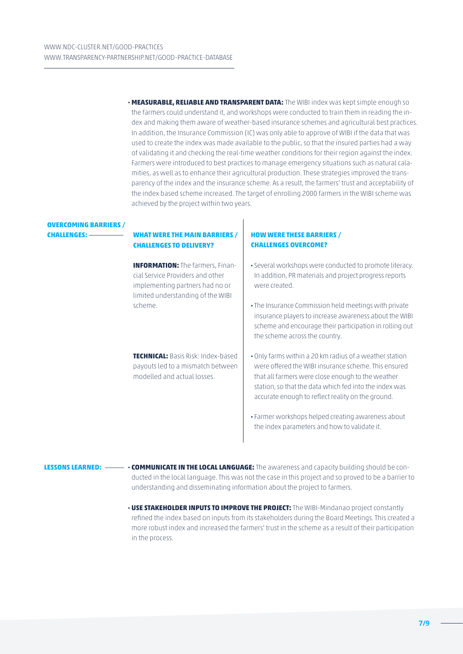**· MEASURABLE, RELIABLE AND TRANSPARENT DATA:** The WIBI index was kept simple enough so the farmers could understand it, and workshops were conducted to train them in reading the index and making them aware of weather-based insurance schemes and agricultural best practices. In addition, the Insurance Commission (IC) was only able to approve of WIBI if the data that was used to create the index was made available to the public, so that the insured parties had a way of validating it and checking the real-time weather conditions for their region against the index. Farmers were introduced to best practices to manage emergency situations such as natural calamities, as well as to enhance their agricultural production. These strategies improved the transparency of the index and the insurance scheme. As a result, the farmers' trust and acceptability of the index based scheme increased. The target of enrolling 2000 farmers in the WIBI scheme was achieved by the project within two years.

## **OVERCOMING BARRIERS /**

### **CHALLENGES:** \_\_\_\_\_\_\_\_\_ **WHAT WERE THE MAIN BARRIERS / CHALLENGES TO DELIVERY?**

**INFORMATION:** The farmers, Financial Service Providers and other implementing partners had no or limited understanding of the WIBI scheme.

**TECHNICAL:** Basis Risk: Index-based payouts led to a mismatch between modelled and actual losses.

#### **HOW WERE THESE BARRIERS / CHALLENGES OVERCOME?**

- **·** Several workshops were conducted to promote literacy. In addition, PR materials and project progress reports were created.
- **·** The Insurance Commission held meetings with private insurance players to increase awareness about the WIBI scheme and encourage their participation in rolling out the scheme across the country.
- **·** Only farms within a 20 km radius of a weather station were offered the WIBI insurance scheme. This ensured that all farmers were close enough to the weather station, so that the data which fed into the index was accurate enough to reflect reality on the ground.
- **·** Farmer workshops helped creating awareness about the index parameters and how to validate it.
- **LESSONS LEARNED:** \_\_\_\_\_ **· COMMUNICATE IN THE LOCAL LANGUAGE:** The awareness and capacity building should be conducted in the local language. This was not the case in this project and so proved to be a barrier to understanding and disseminating information about the project to farmers.
	- **· USE STAKEHOLDER INPUTS TO IMPROVE THE PROJECT:** The WIBI-Mindanao project constantly refined the index based on inputs from its stakeholders during the Board Meetings. This created a more robust index and increased the farmers' trust in the scheme as a result of their participation in the process.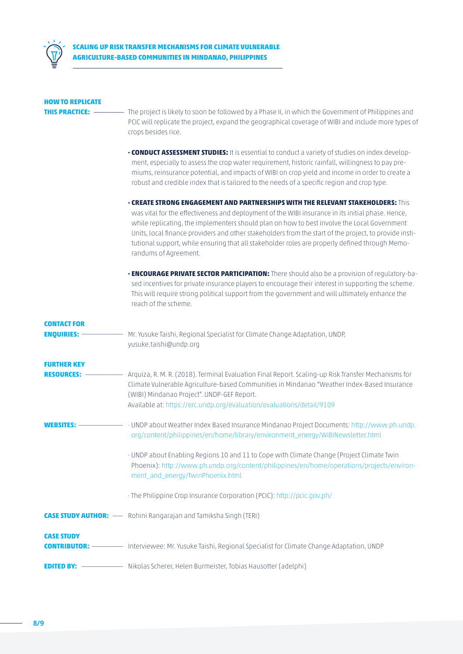

| <b>HOW TO REPLICATE</b>                   |                                                                                                                                                                                                                                                                                                                                                                                                                                                                                                                                 |
|-------------------------------------------|---------------------------------------------------------------------------------------------------------------------------------------------------------------------------------------------------------------------------------------------------------------------------------------------------------------------------------------------------------------------------------------------------------------------------------------------------------------------------------------------------------------------------------|
| THIS PRACTICE:                            | The project is likely to soon be followed by a Phase II, in which the Government of Philippines and<br>PCIC will replicate the project, expand the geographical coverage of WIBI and include more types of<br>crops besides rice.                                                                                                                                                                                                                                                                                               |
|                                           | . CONDUCT ASSESSMENT STUDIES: It is essential to conduct a variety of studies on index develop-<br>ment, especially to assess the crop water requirement, historic rainfall, willingness to pay pre-<br>miums, reinsurance potential, and impacts of WIBI on crop yield and income in order to create a<br>robust and credible index that is tailored to the needs of a specific region and crop type.                                                                                                                          |
|                                           | $\cdot$ CREATE STRONG ENGAGEMENT AND PARTNERSHIPS WITH THE RELEVANT STAKEHOLDERS: This<br>was vital for the effectiveness and deployment of the WIBI insurance in its initial phase. Hence,<br>while replicating, the implementers should plan on how to best involve the Local Government<br>Units, local finance providers and other stakeholders from the start of the project, to provide insti-<br>tutional support, while ensuring that all stakeholder roles are properly defined through Memo-<br>randums of Agreement. |
|                                           | • <b>ENCOURAGE PRIVATE SECTOR PARTICIPATION:</b> There should also be a provision of regulatory-ba-<br>sed incentives for private insurance players to encourage their interest in supporting the scheme.<br>This will require strong political support from the government and will ultimately enhance the<br>reach of the scheme.                                                                                                                                                                                             |
| <b>CONTACT FOR</b><br><b>ENQUIRIES: -</b> | Mr. Yusuke Taishi, Regional Specialist for Climate Change Adaptation, UNDP,<br>yusuke.taishi@undp.org                                                                                                                                                                                                                                                                                                                                                                                                                           |
| <b>FURTHER KEY</b><br><b>RESOURCES:</b>   | Arquiza, R. M. R. (2018). Terminal Evaluation Final Report. Scaling-up Risk Transfer Mechanisms for<br>Climate Vulnerable Agriculture-based Communities in Mindanao "Weather Index-Based Insurance<br>(WIBI) Mindanao Project". UNDP-GEF Report.<br>Available at: https://erc.undp.org/evaluation/evaluations/detail/9109                                                                                                                                                                                                       |
| WEBSITES                                  | · UNDP about Weather Index Based Insurance Mindanao Project Documents: http://www.ph.undp.<br>org/content/philippines/en/home/library/environment_energy/WIBINewsletter.html                                                                                                                                                                                                                                                                                                                                                    |
|                                           | · UNDP about Enabling Regions 10 and 11 to Cope with Climate Change (Project Climate Twin<br>Phoenix): http://www.ph.undp.org/content/philippines/en/home/operations/projects/environ-<br>ment_and_energy/TwinPhoenix.html                                                                                                                                                                                                                                                                                                      |
|                                           | · The Philippine Crop Insurance Corporation (PCIC): http://pcic.gov.ph/                                                                                                                                                                                                                                                                                                                                                                                                                                                         |
|                                           | <b>CASE STUDY AUTHOR:</b> — Rohini Rangarajan and Tamiksha Singh (TERI)                                                                                                                                                                                                                                                                                                                                                                                                                                                         |
| <b>CASE STUDY</b>                         |                                                                                                                                                                                                                                                                                                                                                                                                                                                                                                                                 |
|                                           | <b>EDITED BY:</b> ------------------ Nikolas Scherer, Helen Burmeister, Tobias Hausotter (adelphi)                                                                                                                                                                                                                                                                                                                                                                                                                              |